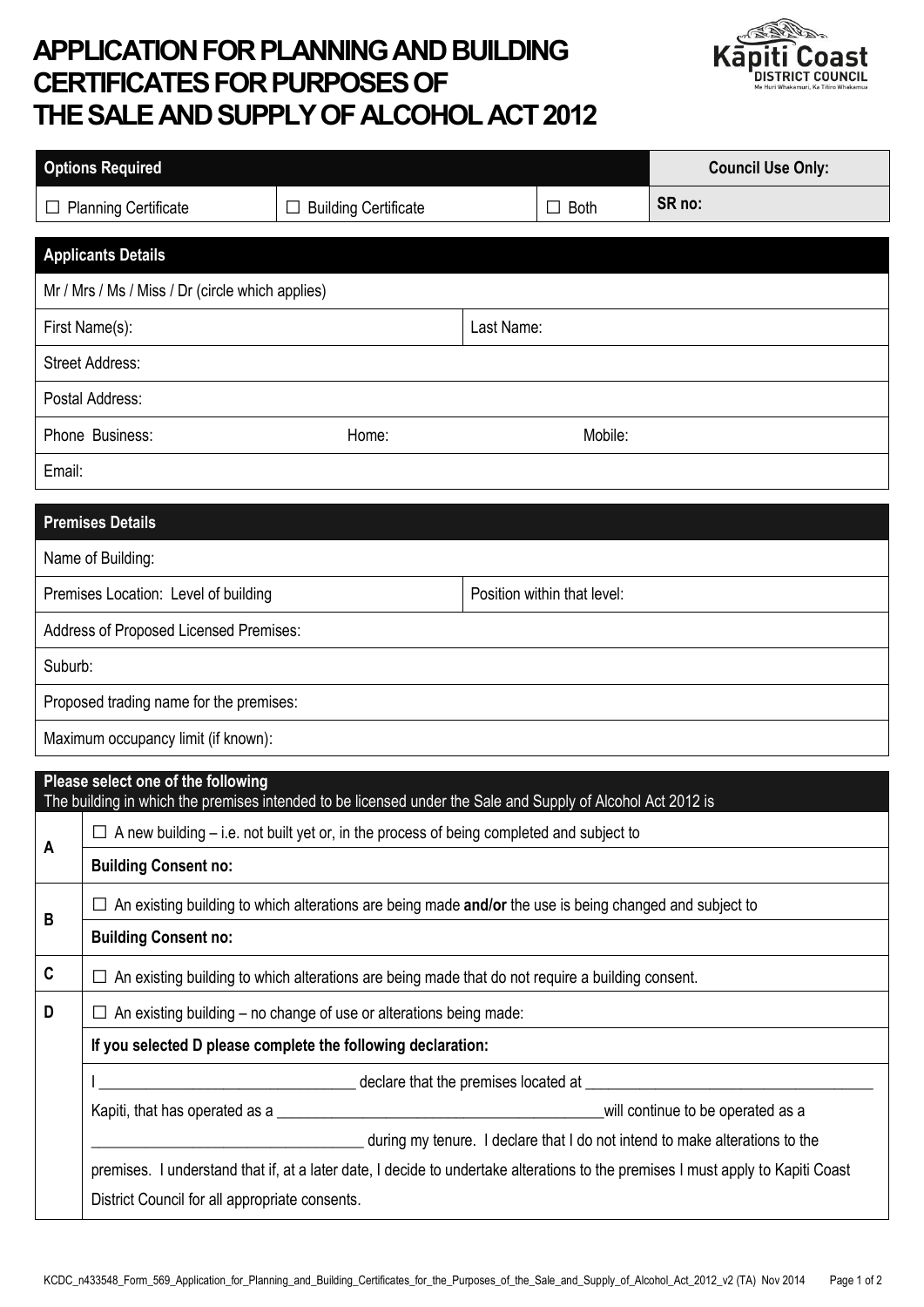## **APPLICATION FOR PLANNING AND BUILDING CERTIFICATES FOR PURPOSES OF THE SALEAND SUPPLY OF ALCOHOL ACT 2012**



|                                                                     | <b>Options Required</b>                                                                                                                                                                                        |                                  |            |                        | <b>Council Use Only:</b>          |  |  |
|---------------------------------------------------------------------|----------------------------------------------------------------------------------------------------------------------------------------------------------------------------------------------------------------|----------------------------------|------------|------------------------|-----------------------------------|--|--|
|                                                                     | <b>Planning Certificate</b>                                                                                                                                                                                    | <b>Building Certificate</b><br>⊔ |            | <b>Both</b><br>$\perp$ | SR no:                            |  |  |
| <b>Applicants Details</b>                                           |                                                                                                                                                                                                                |                                  |            |                        |                                   |  |  |
| Mr / Mrs / Ms / Miss / Dr (circle which applies)                    |                                                                                                                                                                                                                |                                  |            |                        |                                   |  |  |
| First Name(s):                                                      |                                                                                                                                                                                                                |                                  | Last Name: |                        |                                   |  |  |
| <b>Street Address:</b>                                              |                                                                                                                                                                                                                |                                  |            |                        |                                   |  |  |
| Postal Address:                                                     |                                                                                                                                                                                                                |                                  |            |                        |                                   |  |  |
| Phone Business:                                                     |                                                                                                                                                                                                                | Home:                            |            | Mobile:                |                                   |  |  |
| Email:                                                              |                                                                                                                                                                                                                |                                  |            |                        |                                   |  |  |
| <b>Premises Details</b>                                             |                                                                                                                                                                                                                |                                  |            |                        |                                   |  |  |
| Name of Building:                                                   |                                                                                                                                                                                                                |                                  |            |                        |                                   |  |  |
| Position within that level:<br>Premises Location: Level of building |                                                                                                                                                                                                                |                                  |            |                        |                                   |  |  |
|                                                                     | Address of Proposed Licensed Premises:                                                                                                                                                                         |                                  |            |                        |                                   |  |  |
| Suburb:                                                             |                                                                                                                                                                                                                |                                  |            |                        |                                   |  |  |
| Proposed trading name for the premises:                             |                                                                                                                                                                                                                |                                  |            |                        |                                   |  |  |
| Maximum occupancy limit (if known):                                 |                                                                                                                                                                                                                |                                  |            |                        |                                   |  |  |
| Please select one of the following                                  |                                                                                                                                                                                                                |                                  |            |                        |                                   |  |  |
|                                                                     | The building in which the premises intended to be licensed under the Sale and Supply of Alcohol Act 2012 is<br>$\Box$ A new building – i.e. not built yet or, in the process of being completed and subject to |                                  |            |                        |                                   |  |  |
| A                                                                   | <b>Building Consent no:</b>                                                                                                                                                                                    |                                  |            |                        |                                   |  |  |
| B                                                                   | An existing building to which alterations are being made and/or the use is being changed and subject to                                                                                                        |                                  |            |                        |                                   |  |  |
|                                                                     | <b>Building Consent no:</b>                                                                                                                                                                                    |                                  |            |                        |                                   |  |  |
| C                                                                   | $\Box$ An existing building to which alterations are being made that do not require a building consent.                                                                                                        |                                  |            |                        |                                   |  |  |
| D                                                                   | An existing building – no change of use or alterations being made:                                                                                                                                             |                                  |            |                        |                                   |  |  |
|                                                                     | If you selected D please complete the following declaration:                                                                                                                                                   |                                  |            |                        |                                   |  |  |
|                                                                     |                                                                                                                                                                                                                |                                  |            |                        |                                   |  |  |
|                                                                     |                                                                                                                                                                                                                |                                  |            |                        | will continue to be operated as a |  |  |
|                                                                     | during my tenure. I declare that I do not intend to make alterations to the<br>premises. I understand that if, at a later date, I decide to undertake alterations to the premises I must apply to Kapiti Coast |                                  |            |                        |                                   |  |  |
|                                                                     | District Council for all appropriate consents.                                                                                                                                                                 |                                  |            |                        |                                   |  |  |